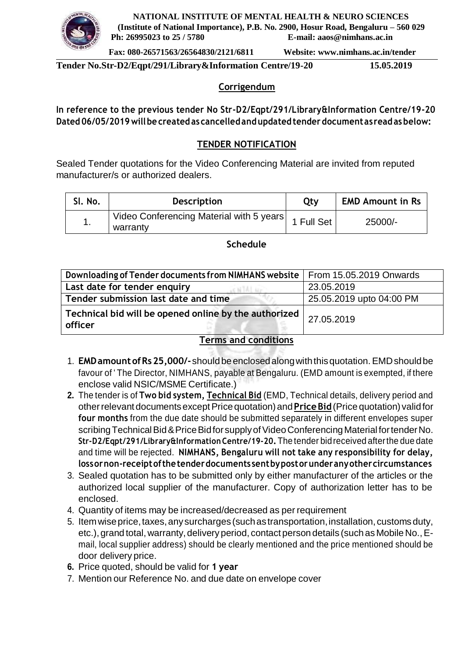

**NATIONAL INSTITUTE OF MENTAL HEALTH & NEURO SCIENCES (Institute of National Importance), P.B. No. 2900, Hosur Road, Bengaluru – 560 029 Ph: 26995023 to 25 / 5780 E-mail: [aaos@nimhans.ac.in](mailto:aaos@nimhans.ac.in)**

**Fax: 080-26571563/26564830/2121/6811**

**Website: [www.nimhans.ac.in/tender](http://www.nimhans.ac.in/tender)**

**Tender No.Str-D2/Eqpt/291/Library&Information Centre/19-20 15.05.2019**

### **Corrigendum**

**In reference to the previous tender No Str-D2/Eqpt/291/Library&Information Centre/19-20 Dated 06/05/2019 willbe created as cancelledandupdatedtender documentas readasbelow:**

### **TENDER NOTIFICATION**

Sealed Tender quotations for the Video Conferencing Material are invited from reputed manufacturer/s or authorized dealers.

| SI. No. | <b>Description</b>                                              | Qty | <b>EMD Amount in Rs</b> |
|---------|-----------------------------------------------------------------|-----|-------------------------|
|         | Video Conferencing Material with 5 years 1 Full Set<br>warranty |     | 25000/-                 |

**Schedule**

| Downloading of Tender documents from NIMHANS website   From 15.05.2019 Onwards |                          |
|--------------------------------------------------------------------------------|--------------------------|
| Last date for tender enquiry                                                   | 23.05.2019               |
| Tender submission last date and time                                           | 25.05.2019 upto 04:00 PM |
| Technical bid will be opened online by the authorized  <br>officer             | 27.05.2019               |

# **Terms and conditions**

- 1. **EMDamountofRs25,000/-**shouldbeenclosedalongwiththisquotation.EMDshouldbe favour of ' The Director, NIMHANS, payable at Bengaluru. (EMD amount is exempted, if there enclose valid NSIC/MSME Certificate.)
- **2.** The tender is of **Two bid system, Technical Bid** (EMD, Technical details, delivery period and otherrelevant documentsexceptPricequotation)and**PriceBid**(Price quotation) validfor **four months** from the due date should be submitted separately in different envelopes super scribing Technical Bid & Price Bid for supply of Video Conferencing Material for tender No. **Str-D2/Eqpt/291/Library&Information Centre/19-20.**The tender bidreceived afterthe due date and time will be rejected. **NIMHANS, Bengaluru will not take any responsibility for delay, lossornon-receiptofthetenderdocuments sentbypostorunderanyothercircumstances**
- 3. Sealed quotation has to be submitted only by either manufacturer of the articles or the authorized local supplier of the manufacturer. Copy of authorization letter has to be enclosed.
- 4. Quantity of items may be increased/decreased as per requirement
- 5. Itemwiseprice,taxes,anysurcharges (suchastransportation,installation, customs duty, etc.), grand total, warranty, delivery period, contact person details (such as Mobile No., Email, local supplier address) should be clearly mentioned and the price mentioned should be door delivery price.
- **6.** Price quoted, should be valid for **1 year**
- 7. Mention our Reference No. and due date on envelope cover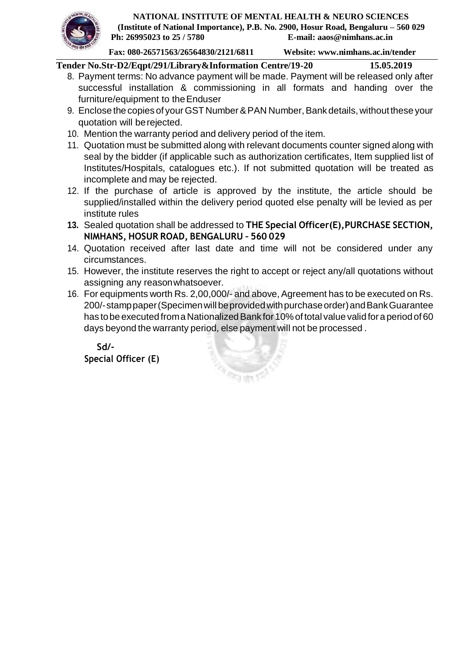

**Fax: 080-26571563/26564830/2121/6811**

**Website: [www.nimhans.ac.in/tender](http://www.nimhans.ac.in/tender)**

**Tender No.Str-D2/Eqpt/291/Library&Information Centre/19-20 15.05.2019**

- 8. Payment terms: No advance payment will be made. Payment will be released only after successful installation & commissioning in all formats and handing over the furniture/equipment to theEnduser
- 9. Enclose the copies of your GST Number & PAN Number, Bank details, without these your quotation will berejected.
- 10. Mention the warranty period and delivery period of the item.
- 11. Quotation must be submitted along with relevant documents counter signed along with seal by the bidder (if applicable such as authorization certificates, Item supplied list of Institutes/Hospitals, catalogues etc.). If not submitted quotation will be treated as incomplete and may be rejected.
- 12. If the purchase of article is approved by the institute, the article should be supplied/installed within the delivery period quoted else penalty will be levied as per institute rules
- **13.** Sealed quotation shall be addressed to **THE Special Officer(E),PURCHASE SECTION, NIMHANS, HOSUR ROAD, BENGALURU – 560 029**
- 14. Quotation received after last date and time will not be considered under any circumstances.
- 15. However, the institute reserves the right to accept or reject any/all quotations without assigning any reasonwhatsoever.
- 16. For equipments worth Rs. 2,00,000/- and above, Agreement has to be executed on Rs. 200/-stamppaper(Specimenwillbeprovidedwithpurchaseorder)andBankGuarantee has to be executed from a Nationalized Bank for 10% of total value valid for a period of 60 days beyond the warranty period, else payment will not be processed .

**Sd/- Special Officer (E)**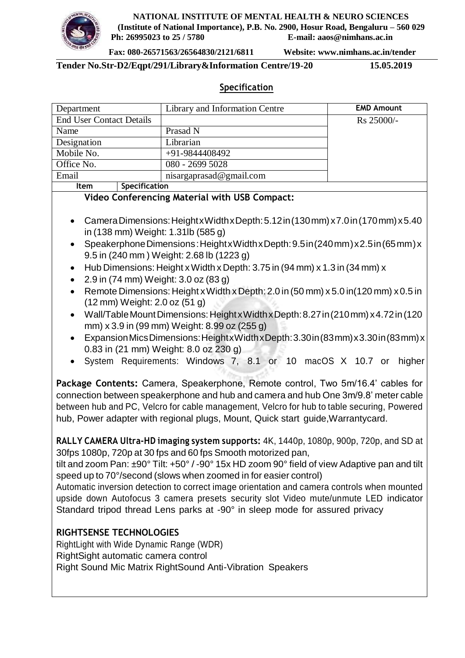

**NATIONAL INSTITUTE OF MENTAL HEALTH & NEURO SCIENCES (Institute of National Importance), P.B. No. 2900, Hosur Road, Bengaluru – 560 029 Ph: 26995023 to 25 / 5780 E-mail: [aaos@nimhans.ac.in](mailto:aaos@nimhans.ac.in)**

**Fax: 080-26571563/26564830/2121/6811**

**Website: [www.nimhans.ac.in/tender](http://www.nimhans.ac.in/tender)**

**Tender No.Str-D2/Eqpt/291/Library&Information Centre/19-20 15.05.2019**

## **Specification**

| Department                      | Library and Information Centre | <b>EMD Amount</b> |
|---------------------------------|--------------------------------|-------------------|
| <b>End User Contact Details</b> |                                | Rs 25000/-        |
| Name                            | Prasad N                       |                   |
| Designation                     | Librarian                      |                   |
| Mobile No.                      | $+91-9844408492$               |                   |
| Office No.                      | 080 - 2699 5028                |                   |
| Email                           | nisargaprasad@gmail.com        |                   |
| <b>Specification</b><br>ltem    |                                |                   |

#### **Video Conferencing Material with USB Compact:**

- CameraDimensions:HeightxWidthxDepth:5.12in(130mm) x7.0in(170mm) x5.40 in (138 mm) Weight: 1.31lb (585 g)
- SpeakerphoneDimensions:HeightxWidthxDepth:9.5in(240mm)x2.5in(65mm)x 9.5 in (240 mm ) Weight: 2.68 lb (1223 g)
- Hub Dimensions: Height x Width x Depth:  $3.75$  in (94 mm) x  $1.3$  in (34 mm) x
- 2.9 in (74 mm) Weight: 3.0 oz (83 g)
- Remote Dimensions: Height xWidth xDepth: 2.0 in (50 mm) x 5.0 in(120 mm) x 0.5 in (12 mm) Weight: 2.0 oz (51 g)
- Wall/TableMountDimensions:HeightxWidthxDepth:8.27in(210mm) x4.72in(120 mm) x 3.9 in (99 mm) Weight: 8.99 oz (255 g)
- ExpansionMicsDimensions:HeightxWidthxDepth:3.30in(83mm)x3.30in(83mm)x 0.83 in (21 mm) Weight: 8.0 oz 230 g)
- System Requirements: Windows 7, 8.1 or 10 macOS X 10.7 or higher

**Package Contents:** Camera, Speakerphone, Remote control, Two 5m/16.4' cables for connection between speakerphone and hub and camera and hub One 3m/9.8' meter cable between hub and PC, Velcro for cable management, Velcro for hub to table securing, Powered hub, Power adapter with regional plugs, Mount, Quick start guide,Warrantycard.

**RALLY CAMERA Ultra-HD imaging system supports:** 4K, 1440p, 1080p, 900p, 720p, and SD at 30fps 1080p, 720p at 30 fps and 60 fps Smooth motorized pan,

tilt and zoom Pan: ±90° Tilt: +50° / -90° 15x HD zoom 90° field of view Adaptive pan and tilt speed up to 70°/second (slows when zoomed in for easier control)

Automatic inversion detection to correct image orientation and camera controls when mounted upside down Autofocus 3 camera presets security slot Video mute/unmute LED indicator Standard tripod thread Lens parks at -90° in sleep mode for assured privacy

## **RIGHTSENSE TECHNOLOGIES**

RightLight with Wide Dynamic Range (WDR) RightSight automatic camera control Right Sound Mic Matrix RightSound Anti-Vibration Speakers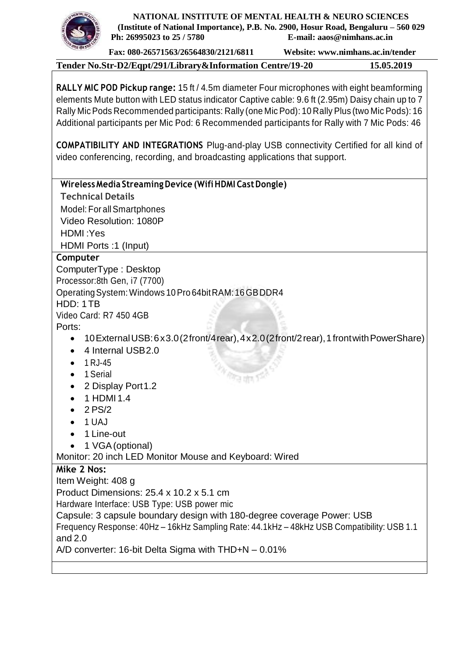

**NATIONAL INSTITUTE OF MENTAL HEALTH & NEURO SCIENCES (Institute of National Importance), P.B. No. 2900, Hosur Road, Bengaluru – 560 029 Ph: 26995023 to 25 / 5780 E-mail: [aaos@nimhans.ac.in](mailto:aaos@nimhans.ac.in)**

**Fax: 080-26571563/26564830/2121/6811**

**Website: [www.nimhans.ac.in/tender](http://www.nimhans.ac.in/tender)**

**Tender No.Str-D2/Eqpt/291/Library&Information Centre/19-20 15.05.2019**

**RALLY MIC POD Pickup range:** 15 ft / 4.5m diameter Four microphones with eight beamforming elements Mute button with LED status indicator Captive cable: 9.6 ft (2.95m) Daisy chain up to 7 Rally MicPods Recommended participants: Rally (one MicPod): 10 Rally Plus (two Mic Pods): 16 Additional participants per Mic Pod: 6 Recommended participants for Rally with 7 Mic Pods: 46

**COMPATIBILITY AND INTEGRATIONS** Plug-and-play USB connectivity Certified for all kind of video conferencing, recording, and broadcasting applications that support.

## **WirelessMedia StreamingDevice (WifiHDMI CastDongle)**

**Technical Details**

Model: For allSmartphones Video Resolution: 1080P HDMI :Yes HDMI Ports :1 (Input)

## **Computer**

ComputerType : Desktop Processor:8th Gen, i7 (7700) OperatingSystem:Windows 10Pro 64bitRAM:16GBDDR4 HDD: 1TB Video Card: R7 450 4GB

Ports:

10ExternalUSB:6x3.0(2front/4rear),4x2.0(2front/2rear),1frontwithPowerShare)

ित लंग

- 4 Internal USB2.0
- $1 RJ-45$
- 1 Serial
- 2 Display Port 1.2
- $\bullet$  1 HDMI 1.4
- $\bullet$  2 PS/2
- $\bullet$  1 UAJ
- 1 Line-out
- 1 VGA (optional)

Monitor: 20 inch LED Monitor Mouse and Keyboard: Wired

## **Mike 2 Nos:**

Item Weight: 408 g Product Dimensions: 25.4 x 10.2 x 5.1 cm Hardware Interface: USB Type: USB power mic Capsule: 3 capsule boundary design with 180-degree coverage Power: USB Frequency Response: 40Hz – 16kHz Sampling Rate: 44.1kHz – 48kHz USB Compatibility: USB 1.1 and 2.0 A/D converter: 16-bit Delta Sigma with THD+N – 0.01%